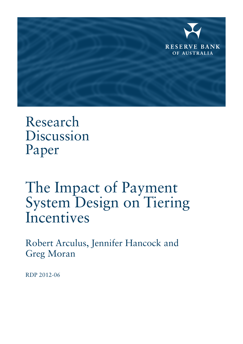

Research Discussion Paper

# The Impact of Payment System Design on Tiering Incentives

Robert Arculus, Jennifer Hancock and Greg Moran

RDP 2012-06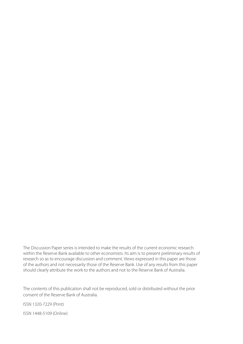The Discussion Paper series is intended to make the results of the current economic research within the Reserve Bank available to other economists. Its aim is to present preliminary results of research so as to encourage discussion and comment. Views expressed in this paper are those of the authors and not necessarily those of the Reserve Bank. Use of any results from this paper should clearly attribute the work to the authors and not to the Reserve Bank of Australia.

The contents of this publication shall not be reproduced, sold or distributed without the prior consent of the Reserve Bank of Australia.

ISSN 1320-7229 (Print) ISSN 1448-5109 (Online)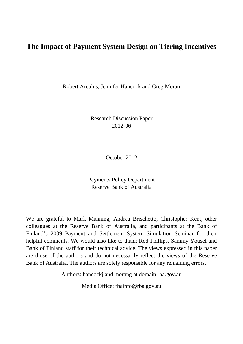# **The Impact of Payment System Design on Tiering Incentives**

Robert Arculus, Jennifer Hancock and Greg Moran

Research Discussion Paper 2012-06

October 2012

Payments Policy Department Reserve Bank of Australia

We are grateful to Mark Manning, Andrea Brischetto, Christopher Kent, other colleagues at the Reserve Bank of Australia, and participants at the Bank of Finland's 2009 Payment and Settlement System Simulation Seminar for their helpful comments. We would also like to thank Rod Phillips, Sammy Yousef and Bank of Finland staff for their technical advice. The views expressed in this paper are those of the authors and do not necessarily reflect the views of the Reserve Bank of Australia. The authors are solely responsible for any remaining errors.

Authors: hancockj and morang at domain rba.gov.au

Media Office: rbainfo@rba.gov.au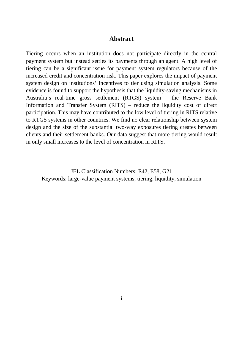#### **Abstract**

Tiering occurs when an institution does not participate directly in the central payment system but instead settles its payments through an agent. A high level of tiering can be a significant issue for payment system regulators because of the increased credit and concentration risk. This paper explores the impact of payment system design on institutions' incentives to tier using simulation analysis. Some evidence is found to support the hypothesis that the liquidity-saving mechanisms in Australia's real-time gross settlement (RTGS) system – the Reserve Bank Information and Transfer System (RITS) – reduce the liquidity cost of direct participation. This may have contributed to the low level of tiering in RITS relative to RTGS systems in other countries. We find no clear relationship between system design and the size of the substantial two-way exposures tiering creates between clients and their settlement banks. Our data suggest that more tiering would result in only small increases to the level of concentration in RITS.

JEL Classification Numbers: E42, E58, G21 Keywords: large-value payment systems, tiering, liquidity, simulation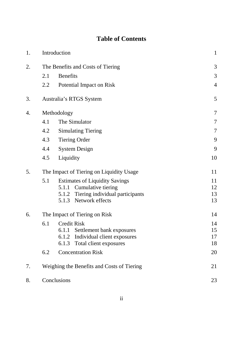# **Table of Contents**

| 1. |                                          | Introduction                                                   | $\mathbf{1}$   |
|----|------------------------------------------|----------------------------------------------------------------|----------------|
| 2. | The Benefits and Costs of Tiering        |                                                                |                |
|    | 2.1                                      | <b>Benefits</b>                                                | 3              |
|    | 2.2                                      | Potential Impact on Risk                                       | $\overline{4}$ |
| 3. |                                          | Australia's RTGS System                                        | 5              |
| 4. | Methodology                              |                                                                |                |
|    | 4.1                                      | The Simulator                                                  | 7              |
|    | 4.2                                      | <b>Simulating Tiering</b>                                      | 7              |
|    | 4.3                                      | <b>Tiering Order</b>                                           | 9              |
|    | 4.4                                      | <b>System Design</b>                                           | 9              |
|    | 4.5                                      | Liquidity                                                      | 10             |
| 5. | The Impact of Tiering on Liquidity Usage |                                                                | 11             |
|    | 5.1                                      | <b>Estimates of Liquidity Savings</b>                          | 11             |
|    |                                          | 5.1.1 Cumulative tiering                                       | 12             |
|    |                                          | 5.1.2 Tiering individual participants<br>5.1.3 Network effects | 13<br>13       |
|    |                                          |                                                                |                |
| 6. | The Impact of Tiering on Risk            |                                                                | 14             |
|    | 6.1                                      | <b>Credit Risk</b>                                             | 14             |
|    |                                          | 6.1.1 Settlement bank exposures                                | 15             |
|    |                                          | 6.1.2 Individual client exposures                              | 17             |
|    |                                          | Total client exposures<br>6.1.3                                | 18             |
|    | <b>Concentration Risk</b><br>6.2         |                                                                | 20             |
| 7. |                                          | Weighing the Benefits and Costs of Tiering                     | 21             |
| 8. | Conclusions                              |                                                                | 23             |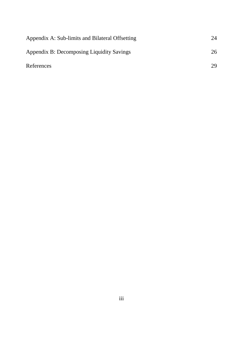| Appendix A: Sub-limits and Bilateral Offsetting | 24 |
|-------------------------------------------------|----|
| Appendix B: Decomposing Liquidity Savings       | 26 |
| References                                      | 29 |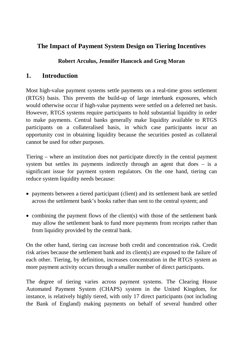## **The Impact of Payment System Design on Tiering Incentives**

## **Robert Arculus, Jennifer Hancock and Greg Moran**

## **1. Introduction**

Most high-value payment systems settle payments on a real-time gross settlement (RTGS) basis. This prevents the build-up of large interbank exposures, which would otherwise occur if high-value payments were settled on a deferred net basis. However, RTGS systems require participants to hold substantial liquidity in order to make payments. Central banks generally make liquidity available to RTGS participants on a collateralised basis, in which case participants incur an opportunity cost in obtaining liquidity because the securities posted as collateral cannot be used for other purposes.

Tiering – where an institution does not participate directly in the central payment system but settles its payments indirectly through an agent that does – is a significant issue for payment system regulators. On the one hand, tiering can reduce system liquidity needs because:

- payments between a tiered participant (client) and its settlement bank are settled across the settlement bank's books rather than sent to the central system; and
- combining the payment flows of the client(s) with those of the settlement bank may allow the settlement bank to fund more payments from receipts rather than from liquidity provided by the central bank.

On the other hand, tiering can increase both credit and concentration risk. Credit risk arises because the settlement bank and its client(s) are exposed to the failure of each other. Tiering, by definition, increases concentration in the RTGS system as more payment activity occurs through a smaller number of direct participants.

The degree of tiering varies across payment systems. The Clearing House Automated Payment System (CHAPS) system in the United Kingdom, for instance, is relatively highly tiered, with only 17 direct participants (not including the Bank of England) making payments on behalf of several hundred other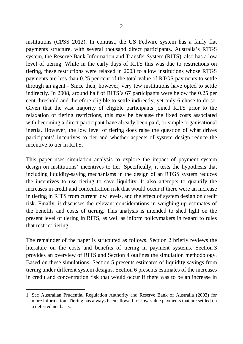institutions (CPSS 2012). In contrast, the US Fedwire system has a fairly flat payments structure, with several thousand direct participants. Australia's RTGS system, the Reserve Bank Information and Transfer System (RITS), also has a low level of tiering. While in the early days of RITS this was due to restrictions on tiering, these restrictions were relaxed in 2003 to allow institutions whose RTGS payments are less than 0.25 per cent of the total value of RTGS payments to settle through an agent.[1](#page-7-0) Since then, however, very few institutions have opted to settle indirectly. In 2008, around half of RITS's 67 participants were below the 0.25 per cent threshold and therefore eligible to settle indirectly, yet only 6 chose to do so. Given that the vast majority of eligible participants joined RITS prior to the relaxation of tiering restrictions, this may be because the fixed costs associated with becoming a direct participant have already been paid, or simple organisational inertia. However, the low level of tiering does raise the question of what drives participants' incentives to tier and whether aspects of system design reduce the incentive to tier in RITS.

This paper uses simulation analysis to explore the impact of payment system design on institutions' incentives to tier. Specifically, it tests the hypothesis that including liquidity-saving mechanisms in the design of an RTGS system reduces the incentives to use tiering to save liquidity. It also attempts to quantify the increases in credit and concentration risk that would occur if there were an increase in tiering in RITS from current low levels, and the effect of system design on credit risk. Finally, it discusses the relevant considerations in weighing-up estimates of the benefits and costs of tiering. This analysis is intended to shed light on the present level of tiering in RITS, as well as inform policymakers in regard to rules that restrict tiering.

The remainder of the paper is structured as follows. Section 2 briefly reviews the literature on the costs and benefits of tiering in payment systems. Section 3 provides an overview of RITS and Section 4 outlines the simulation methodology. Based on these simulations, Section 5 presents estimates of liquidity savings from tiering under different system designs. Section 6 presents estimates of the increases in credit and concentration risk that would occur if there was to be an increase in

 $\overline{a}$ 

<span id="page-7-0"></span><sup>1</sup> See Australian Prudential Regulation Authority and Reserve Bank of Australia (2003) for more information. Tiering has always been allowed for low-value payments that are settled on a deferred net basis.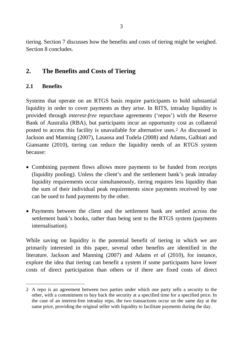tiering. Section 7 discusses how the benefits and costs of tiering might be weighed. Section 8 concludes.

## **2. The Benefits and Costs of Tiering**

#### **2.1 Benefits**

Systems that operate on an RTGS basis require participants to hold substantial liquidity in order to cover payments as they arise. In RITS, intraday liquidity is provided through *interest-free* repurchase agreements ('repos') with the Reserve Bank of Australia (RBA), but participants incur an opportunity cost as collateral posted to access this facility is unavailable for alternative uses.[2](#page-8-0) As discussed in Jackson and Manning (2007), Lasaosa and Tudela (2008) and Adams, Galbiati and Giansante (2010), tiering can reduce the liquidity needs of an RTGS system because:

- Combining payment flows allows more payments to be funded from receipts (liquidity pooling). Unless the client's and the settlement bank's peak intraday liquidity requirements occur simultaneously, tiering requires less liquidity than the sum of their individual peak requirements since payments received by one can be used to fund payments by the other.
- Payments between the client and the settlement bank are settled across the settlement bank's books, rather than being sent to the RTGS system (payments internalisation).

While saving on liquidity is the potential benefit of tiering in which we are primarily interested in this paper, several other benefits are identified in the literature. Jackson and Manning (2007) and Adams *et al* (2010), for instance, explore the idea that tiering can benefit a system if some participants have lower costs of direct participation than others or if there are fixed costs of direct

<span id="page-8-0"></span> $\overline{a}$ 2 A repo is an agreement between two parties under which one party sells a security to the other, with a commitment to buy back the security at a specified time for a specified price. In the case of an interest-free intraday repo, the two transactions occur on the same day at the same price, providing the original seller with liquidity to facilitate payments during the day.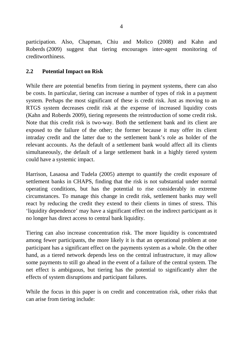participation. Also, Chapman, Chiu and Molico (2008) and Kahn and Roberds (2009) suggest that tiering encourages inter-agent monitoring of creditworthiness.

#### **2.2 Potential Impact on Risk**

While there are potential benefits from tiering in payment systems, there can also be costs. In particular, tiering can increase a number of types of risk in a payment system. Perhaps the most significant of these is credit risk. Just as moving to an RTGS system decreases credit risk at the expense of increased liquidity costs (Kahn and Roberds 2009), tiering represents the reintroduction of some credit risk. Note that this credit risk is two-way. Both the settlement bank and its client are exposed to the failure of the other; the former because it may offer its client intraday credit and the latter due to the settlement bank's role as holder of the relevant accounts. As the default of a settlement bank would affect all its clients simultaneously, the default of a large settlement bank in a highly tiered system could have a systemic impact.

Harrison, Lasaosa and Tudela (2005) attempt to quantify the credit exposure of settlement banks in CHAPS, finding that the risk is not substantial under normal operating conditions, but has the potential to rise considerably in extreme circumstances. To manage this change in credit risk, settlement banks may well react by reducing the credit they extend to their clients in times of stress. This 'liquidity dependence' may have a significant effect on the indirect participant as it no longer has direct access to central bank liquidity.

Tiering can also increase concentration risk. The more liquidity is concentrated among fewer participants, the more likely it is that an operational problem at one participant has a significant effect on the payments system as a whole. On the other hand, as a tiered network depends less on the central infrastructure, it may allow some payments to still go ahead in the event of a failure of the central system. The net effect is ambiguous, but tiering has the potential to significantly alter the effects of system disruptions and participant failures.

While the focus in this paper is on credit and concentration risk, other risks that can arise from tiering include: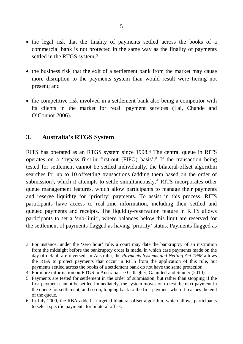- the legal risk that the finality of payments settled across the books of a commercial bank is not protected in the same way as the finality of payments settled in the RTGS system;<sup>[3](#page-10-0)</sup>
- the business risk that the exit of a settlement bank from the market may cause more disruption to the payments system than would result were tiering not present; and
- the competitive risk involved in a settlement bank also being a competitor with its clients in the market for retail payment services (Lai, Chande and O'Connor 2006).

## **3. Australia's RTGS System**

RITS has operated as an RTGS system since 1998.[4](#page-10-1) The central queue in RITS operates on a 'bypass first-in first-out (FIFO) basis'.[5](#page-10-2) If the transaction being tested for settlement cannot be settled individually, the bilateral-offset algorithm searches for up to 10 offsetting transactions (adding them based on the order of submission), which it attempts to settle simultaneously.[6](#page-10-3) RITS incorporates other queue management features, which allow participants to manage their payments and reserve liquidity for 'priority' payments. To assist in this process, RITS participants have access to real-time information, including their settled and queued payments and receipts. The liquidity-reservation feature in RITS allows participants to set a 'sub-limit', where balances below this limit are reserved for the settlement of payments flagged as having 'priority' status. Payments flagged as

<span id="page-10-0"></span> $\overline{a}$ 3 For instance, under the 'zero hour' rule, a court may date the bankruptcy of an institution from the midnight before the bankruptcy order is made, in which case payments made on the day of default are reversed. In Australia, the *Payments Systems and Netting Act 1998* allows the RBA to protect payments that occur in RITS from the application of this rule, but payments settled across the books of a settlement bank do not have the same protection.

<span id="page-10-1"></span><sup>4</sup> For more information on RTGS in Australia see Gallagher, Gauntlett and Sunner (2010).

<span id="page-10-2"></span><sup>5</sup> Payments are tested for settlement in the order of submission, but rather than stopping if the first payment cannot be settled immediately, the system moves on to test the next payment in the queue for settlement, and so on, looping back to the first payment when it reaches the end of the queue.

<span id="page-10-3"></span><sup>6</sup> In July 2009, the RBA added a targeted bilateral-offset algorithm, which allows participants to select specific payments for bilateral offset.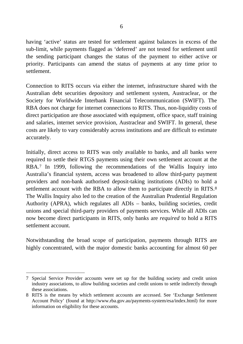having 'active' status are tested for settlement against balances in excess of the sub-limit, while payments flagged as 'deferred' are not tested for settlement until the sending participant changes the status of the payment to either active or priority. Participants can amend the status of payments at any time prior to settlement.

Connection to RITS occurs via either the internet, infrastructure shared with the Australian debt securities depository and settlement system, Austraclear, or the Society for Worldwide Interbank Financial Telecommunication (SWIFT). The RBA does not charge for internet connections to RITS. Thus, non-liquidity costs of direct participation are those associated with equipment, office space, staff training and salaries, internet service provision, Austraclear and SWIFT. In general, these costs are likely to vary considerably across institutions and are difficult to estimate accurately.

Initially, direct access to RITS was only available to banks, and all banks were required to settle their RTGS payments using their own settlement account at the RBA.[7](#page-11-0) In 1999, following the recommendations of the Wallis Inquiry into Australia's financial system, access was broadened to allow third-party payment providers and non-bank authorised deposit-taking institutions (ADIs) to hold a settlement account with the RBA to allow them to participate directly in RITS.<sup>[8](#page-11-1)</sup> The Wallis Inquiry also led to the creation of the Australian Prudential Regulation Authority (APRA), which regulates all ADIs – banks, building societies, credit unions and special third-party providers of payments services. While all ADIs can now become direct participants in RITS, only banks are *required* to hold a RITS settlement account.

Notwithstanding the broad scope of participation, payments through RITS are highly concentrated, with the major domestic banks accounting for almost 60 per

 $\overline{a}$ 

<span id="page-11-0"></span><sup>7</sup> Special Service Provider accounts were set up for the building society and credit union industry associations, to allow building societies and credit unions to settle indirectly through these associations.

<span id="page-11-1"></span><sup>8</sup> RITS is the means by which settlement accounts are accessed. See 'Exchange Settlement Account Policy' (found at http://www.rba.gov.au/payments-system/esa/index.html) for more information on eligibility for these accounts.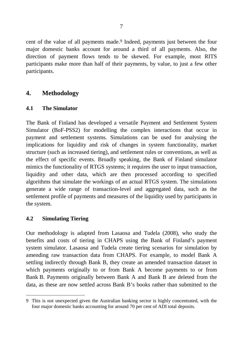cent of the value of all payments made.<sup>9</sup> Indeed, payments just between the four major domestic banks account for around a third of all payments. Also, the direction of payment flows tends to be skewed. For example, most RITS participants make more than half of their payments, by value, to just a few other participants.

## **4. Methodology**

#### **4.1 The Simulator**

The Bank of Finland has developed a versatile Payment and Settlement System Simulator (BoF-PSS2) for modelling the complex interactions that occur in payment and settlement systems. Simulations can be used for analysing the implications for liquidity and risk of changes in system functionality, market structure (such as increased tiering), and settlement rules or conventions, as well as the effect of specific events. Broadly speaking, the Bank of Finland simulator mimics the functionality of RTGS systems; it requires the user to input transaction, liquidity and other data, which are then processed according to specified algorithms that simulate the workings of an actual RTGS system. The simulations generate a wide range of transaction-level and aggregated data, such as the settlement profile of payments and measures of the liquidity used by participants in the system.

#### **4.2 Simulating Tiering**

Our methodology is adapted from Lasaosa and Tudela (2008), who study the benefits and costs of tiering in CHAPS using the Bank of Finland's payment system simulator. Lasaosa and Tudela create tiering scenarios for simulation by amending raw transaction data from CHAPS. For example, to model Bank A settling indirectly through Bank B, they create an amended transaction dataset in which payments originally to or from Bank A become payments to or from Bank B. Payments originally between Bank A and Bank B are deleted from the data, as these are now settled across Bank B's books rather than submitted to the

<span id="page-12-0"></span> $\overline{a}$ 9 This is not unexpected given the Australian banking sector is highly concentrated, with the four major domestic banks accounting for around 70 per cent of ADI total deposits.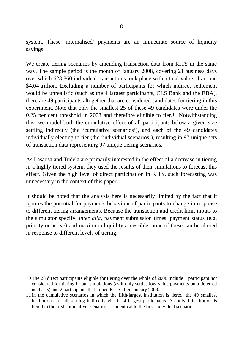system. These 'internalised' payments are an immediate source of liquidity savings.

We create tiering scenarios by amending transaction data from RITS in the same way. The sample period is the month of January 2008, covering 21 business days over which 623 860 individual transactions took place with a total value of around \$4.04 trillion. Excluding a number of participants for which indirect settlement would be unrealistic (such as the 4 largest participants, CLS Bank and the RBA), there are 49 participants altogether that are considered candidates for tiering in this experiment. Note that only the smallest 25 of these 49 candidates were under the 0.25 per cent threshold in 2008 and therefore eligible to tier.[10](#page-13-0) Notwithstanding this, we model both the cumulative effect of all participants below a given size settling indirectly (the 'cumulative scenarios'), and each of the 49 candidates individually electing to tier (the 'individual scenarios'), resulting in 97 unique sets of transaction data representing 97 unique tiering scenarios.[11](#page-13-1)

As Lasaosa and Tudela are primarily interested in the effect of a decrease in tiering in a highly tiered system, they used the results of their simulations to forecast this effect. Given the high level of direct participation in RITS, such forecasting was unnecessary in the context of this paper.

It should be noted that the analysis here is necessarily limited by the fact that it ignores the potential for payments behaviour of participants to change in response to different tiering arrangements. Because the transaction and credit limit inputs to the simulator specify, *inter alia*, payment submission times, payment status (e.g. priority or active) and maximum liquidity accessible, none of these can be altered in response to different levels of tiering.

 $\overline{a}$ 

<span id="page-13-0"></span><sup>10</sup> The 28 direct participants eligible for tiering over the whole of 2008 include 1 participant not considered for tiering in our simulations (as it only settles low-value payments on a deferred net basis) and 2 participants that joined RITS after January 2008.

<span id="page-13-1"></span><sup>11</sup> In the cumulative scenarios in which the fifth-largest institution is tiered, the 49 smallest institutions are all settling indirectly via the 4 largest participants. As only 1 institution is tiered in the first cumulative scenario, it is identical to the first individual scenario.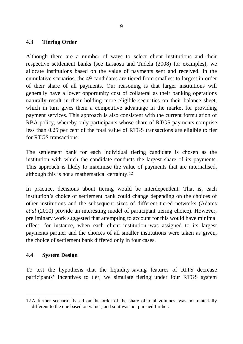#### **4.3 Tiering Order**

Although there are a number of ways to select client institutions and their respective settlement banks (see Lasaosa and Tudela (2008) for examples), we allocate institutions based on the value of payments sent and received. In the cumulative scenarios, the 49 candidates are tiered from smallest to largest in order of their share of all payments. Our reasoning is that larger institutions will generally have a lower opportunity cost of collateral as their banking operations naturally result in their holding more eligible securities on their balance sheet, which in turn gives them a competitive advantage in the market for providing payment services. This approach is also consistent with the current formulation of RBA policy, whereby only participants whose share of RTGS payments comprise less than 0.25 per cent of the total value of RTGS transactions are eligible to tier for RTGS transactions.

The settlement bank for each individual tiering candidate is chosen as the institution with which the candidate conducts the largest share of its payments. This approach is likely to maximise the value of payments that are internalised, although this is not a mathematical certainty.[12](#page-14-0)

In practice, decisions about tiering would be interdependent. That is, each institution's choice of settlement bank could change depending on the choices of other institutions and the subsequent sizes of different tiered networks (Adams *et al* (2010) provide an interesting model of participant tiering choice). However, preliminary work suggested that attempting to account for this would have minimal effect; for instance, when each client institution was assigned to its largest payments partner and the choices of all smaller institutions were taken as given, the choice of settlement bank differed only in four cases.

#### **4.4 System Design**

To test the hypothesis that the liquidity-saving features of RITS decrease participants' incentives to tier, we simulate tiering under four RTGS system

<span id="page-14-0"></span> $\overline{a}$ 12 A further scenario, based on the order of the share of total volumes, was not materially different to the one based on values, and so it was not pursued further.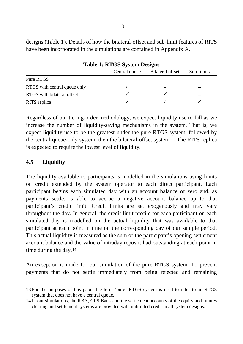| <b>Table 1: RTGS System Designs</b> |               |                         |            |  |  |  |  |
|-------------------------------------|---------------|-------------------------|------------|--|--|--|--|
|                                     | Central queue | <b>Bilateral offset</b> | Sub-limits |  |  |  |  |
| Pure RTGS                           |               |                         |            |  |  |  |  |
| RTGS with central queue only        |               |                         |            |  |  |  |  |
| RTGS with bilateral offset          |               |                         |            |  |  |  |  |
| RITS replica                        |               |                         |            |  |  |  |  |

designs (Table 1). Details of how the bilateral-offset and sub-limit features of RITS have been incorporated in the simulations are contained in Appendix A.

Regardless of our tiering-order methodology, we expect liquidity use to fall as we increase the number of liquidity-saving mechanisms in the system. That is, we expect liquidity use to be the greatest under the pure RTGS system, followed by the central-queue-only system, then the bilateral-offset system.[13](#page-15-0) The RITS replica is expected to require the lowest level of liquidity.

#### **4.5 Liquidity**

The liquidity available to participants is modelled in the simulations using limits on credit extended by the system operator to each direct participant. Each participant begins each simulated day with an account balance of zero and, as payments settle, is able to accrue a negative account balance up to that participant's credit limit. Credit limits are set exogenously and may vary throughout the day. In general, the credit limit profile for each participant on each simulated day is modelled on the actual liquidity that was available to that participant at each point in time on the corresponding day of our sample period. This actual liquidity is measured as the sum of the participant's opening settlement account balance and the value of intraday repos it had outstanding at each point in time during the day.[14](#page-15-1)

An exception is made for our simulation of the pure RTGS system. To prevent payments that do not settle immediately from being rejected and remaining

<span id="page-15-0"></span> $\overline{a}$ 13 For the purposes of this paper the term 'pure' RTGS system is used to refer to an RTGS system that does not have a central queue.

<span id="page-15-1"></span><sup>14</sup> In our simulations, the RBA, CLS Bank and the settlement accounts of the equity and futures clearing and settlement systems are provided with unlimited credit in all system designs.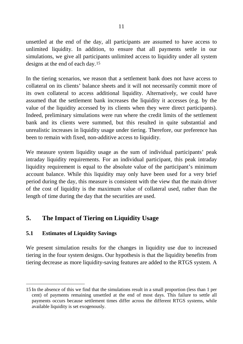unsettled at the end of the day, all participants are assumed to have access to unlimited liquidity. In addition, to ensure that all payments settle in our simulations, we give all participants unlimited access to liquidity under all system designs at the end of each day.[15](#page-16-0)

In the tiering scenarios, we reason that a settlement bank does not have access to collateral on its clients' balance sheets and it will not necessarily commit more of its own collateral to access additional liquidity. Alternatively, we could have assumed that the settlement bank increases the liquidity it accesses (e.g. by the value of the liquidity accessed by its clients when they were direct participants). Indeed, preliminary simulations were run where the credit limits of the settlement bank and its clients were summed, but this resulted in quite substantial and unrealistic increases in liquidity usage under tiering. Therefore, our preference has been to remain with fixed, non-additive access to liquidity.

We measure system liquidity usage as the sum of individual participants' peak intraday liquidity requirements. For an individual participant, this peak intraday liquidity requirement is equal to the absolute value of the participant's minimum account balance. While this liquidity may only have been used for a very brief period during the day, this measure is consistent with the view that the main driver of the cost of liquidity is the maximum value of collateral used, rather than the length of time during the day that the securities are used.

## **5. The Impact of Tiering on Liquidity Usage**

## **5.1 Estimates of Liquidity Savings**

We present simulation results for the changes in liquidity use due to increased tiering in the four system designs. Our hypothesis is that the liquidity benefits from tiering decrease as more liquidity-saving features are added to the RTGS system. A

<span id="page-16-0"></span> $\overline{a}$ 15 In the absence of this we find that the simulations result in a small proportion (less than 1 per cent) of payments remaining unsettled at the end of most days. This failure to settle all payments occurs because settlement times differ across the different RTGS systems, while available liquidity is set exogenously.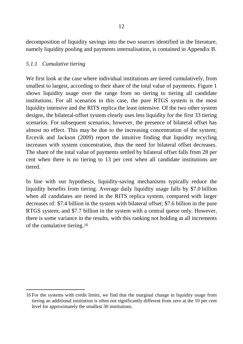decomposition of liquidity savings into the two sources identified in the literature, namely liquidity pooling and payments internalisation, is contained in Appendix B.

#### *5.1.1 Cumulative tiering*

We first look at the case where individual institutions are tiered cumulatively, from smallest to largest, according to their share of the total value of payments. Figure 1 shows liquidity usage over the range from no tiering to tiering all candidate institutions. For all scenarios in this case, the pure RTGS system is the most liquidity intensive and the RITS replica the least intensive. Of the two other system designs, the bilateral-offset system clearly uses less liquidity for the first 33 tiering scenarios. For subsequent scenarios, however, the presence of bilateral offset has almost no effect. This may be due to the increasing concentration of the system; Ercevik and Jackson (2009) report the intuitive finding that liquidity recycling increases with system concentration, thus the need for bilateral offset decreases. The share of the total value of payments settled by bilateral offset falls from 28 per cent when there is no tiering to 13 per cent when all candidate institutions are tiered.

In line with our hypothesis, liquidity-saving mechanisms typically reduce the liquidity benefits from tiering. Average daily liquidity usage falls by \$7.0 billion when all candidates are tiered in the RITS replica system, compared with larger decreases of: \$7.4 billion in the system with bilateral offset; \$7.6 billion in the pure RTGS system; and \$7.7 billion in the system with a central queue only. However, there is some variance in the results, with this ranking not holding at all increments of the cumulative tiering.[16](#page-17-0)

<span id="page-17-0"></span> $\overline{a}$ 16 For the systems with credit limits, we find that the marginal change in liquidity usage from tiering an additional institution is often not significantly different from zero at the 10 per cent level for approximately the smallest 30 institutions.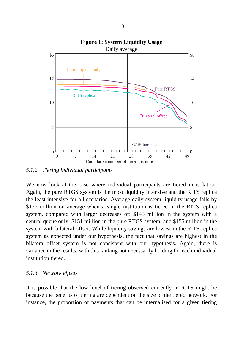

**Figure 1: System Liquidity Usage**

*5.1.2 Tiering individual participants*

We now look at the case where individual participants are tiered in isolation. Again, the pure RTGS system is the most liquidity intensive and the RITS replica the least intensive for all scenarios. Average daily system liquidity usage falls by \$137 million on average when a single institution is tiered in the RITS replica system, compared with larger decreases of: \$143 million in the system with a central queue only; \$151 million in the pure RTGS system; and \$155 million in the system with bilateral offset. While liquidity savings are lowest in the RITS replica system as expected under our hypothesis, the fact that savings are highest in the bilateral-offset system is not consistent with our hypothesis. Again, there is variance in the results, with this ranking not necessarily holding for each individual institution tiered.

#### *5.1.3 Network effects*

It is possible that the low level of tiering observed currently in RITS might be because the benefits of tiering are dependent on the size of the tiered network. For instance, the proportion of payments that can be internalised for a given tiering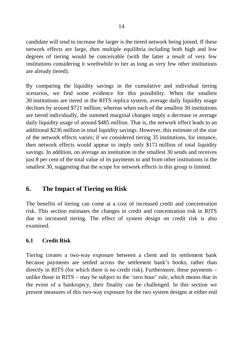candidate will tend to increase the larger is the tiered network being joined. If these network effects are large, then multiple equilibria including both high and low degrees of tiering would be conceivable (with the latter a result of very few institutions considering it worthwhile to tier as long as very few other institutions are already tiered).

By comparing the liquidity savings in the cumulative and individual tiering scenarios, we find some evidence for this possibility. When the smallest 30 institutions are tiered in the RITS replica system, average daily liquidity usage declines by around \$721 million; whereas when each of the smallest 30 institutions are tiered individually, the summed marginal changes imply a decrease in average daily liquidity usage of around \$485 million. That is, the network effect leads to an additional \$236 million in total liquidity savings. However, this estimate of the size of the network effects varies; if we considered tiering 35 institutions, for instance, then network effects would appear to imply only \$171 million of total liquidity savings. In addition, on average an institution in the smallest 30 sends and receives just 8 per cent of the total value of its payments to and from other institutions in the smallest 30, suggesting that the scope for network effects in this group is limited.

## **6. The Impact of Tiering on Risk**

The benefits of tiering can come at a cost of increased credit and concentration risk. This section estimates the changes in credit and concentration risk in RITS due to increased tiering. The effect of system design on credit risk is also examined.

#### **6.1 Credit Risk**

Tiering creates a two-way exposure between a client and its settlement bank because payments are settled across the settlement bank's books, rather than directly in RITS (for which there is no credit risk). Furthermore, these payments – unlike those in RITS – may be subject to the 'zero hour' rule, which means that in the event of a bankruptcy, their finality can be challenged. In this section we present measures of this two-way exposure for the two system designs at either end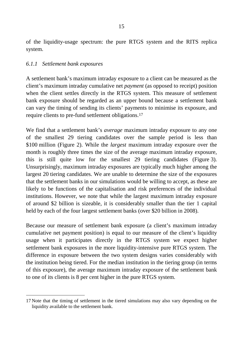of the liquidity-usage spectrum: the pure RTGS system and the RITS replica system.

#### *6.1.1 Settlement bank exposures*

A settlement bank's maximum intraday exposure to a client can be measured as the client's maximum intraday cumulative net *payment* (as opposed to receipt) position when the client settles directly in the RTGS system. This measure of settlement bank exposure should be regarded as an upper bound because a settlement bank can vary the timing of sending its clients' payments to minimise its exposure, and require clients to pre-fund settlement obligations[.17](#page-20-0)

We find that a settlement bank's *average* maximum intraday exposure to any one of the smallest 29 tiering candidates over the sample period is less than \$100 million (Figure 2). While the *largest* maximum intraday exposure over the month is roughly three times the size of the average maximum intraday exposure, this is still quite low for the smallest 29 tiering candidates (Figure 3). Unsurprisingly, maximum intraday exposures are typically much higher among the largest 20 tiering candidates. We are unable to determine the size of the exposures that the settlement banks in our simulations would be willing to accept, as these are likely to be functions of the capitalisation and risk preferences of the individual institutions. However, we note that while the largest maximum intraday exposure of around \$2 billion is sizeable, it is considerably smaller than the tier 1 capital held by each of the four largest settlement banks (over \$20 billion in 2008).

Because our measure of settlement bank exposure (a client's maximum intraday cumulative net payment position) is equal to our measure of the client's liquidity usage when it participates directly in the RTGS system we expect higher settlement bank exposures in the more liquidity-intensive pure RTGS system. The difference in exposure between the two system designs varies considerably with the institution being tiered. For the median institution in the tiering group (in terms of this exposure), the average maximum intraday exposure of the settlement bank to one of its clients is 8 per cent higher in the pure RTGS system.

<span id="page-20-0"></span> $\overline{a}$ 17 Note that the timing of settlement in the tiered simulations may also vary depending on the liquidity available to the settlement bank.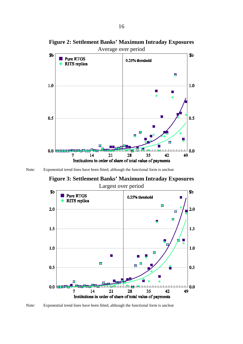

**Figure 2: Settlement Banks' Maximum Intraday Exposures**

Note: Exponential trend lines have been fitted, although the functional form is unclear

**Figure 3: Settlement Banks' Maximum Intraday Exposures** Largest over period



Note: Exponential trend lines have been fitted, although the functional form is unclear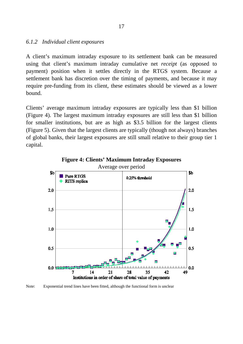#### *6.1.2 Individual client exposures*

A client's maximum intraday exposure to its settlement bank can be measured using that client's maximum intraday cumulative net *receipt* (as opposed to payment) position when it settles directly in the RTGS system. Because a settlement bank has discretion over the timing of payments, and because it may require pre-funding from its client, these estimates should be viewed as a lower bound.

Clients' average maximum intraday exposures are typically less than \$1 billion (Figure 4). The largest maximum intraday exposures are still less than \$1 billion for smaller institutions, but are as high as \$3.5 billion for the largest clients (Figure 5). Given that the largest clients are typically (though not always) branches of global banks, their largest exposures are still small relative to their group tier 1 capital.



**Figure 4: Clients' Maximum Intraday Exposures**

Note: Exponential trend lines have been fitted, although the functional form is unclear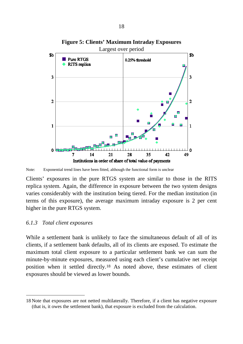

**Figure 5: Clients' Maximum Intraday Exposures**

Note: Exponential trend lines have been fitted, although the functional form is unclear

Clients' exposures in the pure RTGS system are similar to those in the RITS replica system. Again, the difference in exposure between the two system designs varies considerably with the institution being tiered. For the median institution (in terms of this exposure), the average maximum intraday exposure is 2 per cent higher in the pure RTGS system.

#### *6.1.3 Total client exposures*

 $\overline{a}$ 

While a settlement bank is unlikely to face the simultaneous default of all of its clients, if a settlement bank defaults, all of its clients are exposed. To estimate the maximum total client exposure to a particular settlement bank we can sum the minute-by-minute exposures, measured using each client's cumulative net receipt position when it settled directly.[18](#page-23-0) As noted above, these estimates of client exposures should be viewed as lower bounds.

<span id="page-23-0"></span><sup>18</sup> Note that exposures are not netted multilaterally. Therefore, if a client has negative exposure (that is, it owes the settlement bank), that exposure is excluded from the calculation.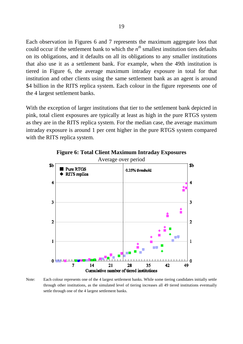Each observation in Figures 6 and 7 represents the maximum aggregate loss that could occur if the settlement bank to which the  $n^{th}$  smallest institution tiers defaults on its obligations, and it defaults on all its obligations to any smaller institutions that also use it as a settlement bank. For example, when the 49th institution is tiered in Figure 6, the average maximum intraday exposure in total for that institution and other clients using the same settlement bank as an agent is around \$4 billion in the RITS replica system. Each colour in the figure represents one of the 4 largest settlement banks.

With the exception of larger institutions that tier to the settlement bank depicted in pink, total client exposures are typically at least as high in the pure RTGS system as they are in the RITS replica system. For the median case, the average maximum intraday exposure is around 1 per cent higher in the pure RTGS system compared with the RITS replica system.



**Figure 6: Total Client Maximum Intraday Exposures**

Note: Each colour represents one of the 4 largest settlement banks. While some tiering candidates initially settle through other institutions, as the simulated level of tiering increases all 49 tiered institutions eventually settle through one of the 4 largest settlement banks.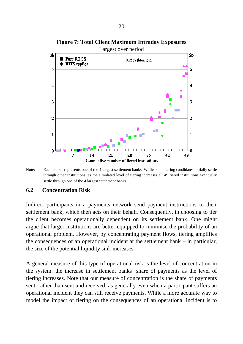

**Figure 7: Total Client Maximum Intraday Exposures**

Note: Each colour represents one of the 4 largest settlement banks. While some tiering candidates initially settle through other institutions, as the simulated level of tiering increases all 49 tiered institutions eventually settle through one of the 4 largest settlement banks.

#### **6.2 Concentration Risk**

Indirect participants in a payments network send payment instructions to their settlement bank, which then acts on their behalf. Consequently, in choosing to tier the client becomes operationally dependent on its settlement bank. One might argue that larger institutions are better equipped to minimise the probability of an operational problem. However, by concentrating payment flows, tiering amplifies the consequences of an operational incident at the settlement bank – in particular, the size of the potential liquidity sink increases.

A general measure of this type of operational risk is the level of concentration in the system: the increase in settlement banks' share of payments as the level of tiering increases. Note that our measure of concentration is the share of payments sent, rather than sent and received, as generally even when a participant suffers an operational incident they can still receive payments. While a more accurate way to model the impact of tiering on the consequences of an operational incident is to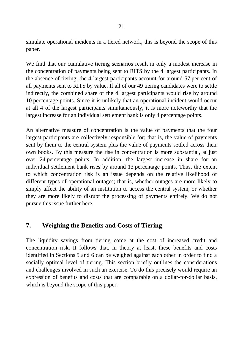simulate operational incidents in a tiered network, this is beyond the scope of this paper.

We find that our cumulative tiering scenarios result in only a modest increase in the concentration of payments being sent to RITS by the 4 largest participants. In the absence of tiering, the 4 largest participants account for around 57 per cent of all payments sent to RITS by value. If all of our 49 tiering candidates were to settle indirectly, the combined share of the 4 largest participants would rise by around 10 percentage points. Since it is unlikely that an operational incident would occur at all 4 of the largest participants simultaneously, it is more noteworthy that the largest increase for an individual settlement bank is only 4 percentage points.

An alternative measure of concentration is the value of payments that the four largest participants are collectively responsible for; that is, the value of payments sent by them to the central system plus the value of payments settled across their own books. By this measure the rise in concentration is more substantial, at just over 24 percentage points. In addition, the largest increase in share for an individual settlement bank rises by around 13 percentage points. Thus, the extent to which concentration risk is an issue depends on the relative likelihood of different types of operational outages; that is, whether outages are more likely to simply affect the ability of an institution to access the central system, or whether they are more likely to disrupt the processing of payments entirely. We do not pursue this issue further here.

## **7. Weighing the Benefits and Costs of Tiering**

The liquidity savings from tiering come at the cost of increased credit and concentration risk. It follows that, in theory at least, these benefits and costs identified in Sections 5 and 6 can be weighed against each other in order to find a socially optimal level of tiering. This section briefly outlines the considerations and challenges involved in such an exercise. To do this precisely would require an expression of benefits and costs that are comparable on a dollar-for-dollar basis, which is beyond the scope of this paper.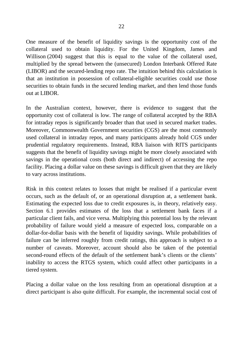One measure of the benefit of liquidity savings is the opportunity cost of the collateral used to obtain liquidity. For the United Kingdom, James and Willison (2004) suggest that this is equal to the value of the collateral used, multiplied by the spread between the (unsecured) London Interbank Offered Rate (LIBOR) and the secured-lending repo rate. The intuition behind this calculation is that an institution in possession of collateral-eligible securities could use those securities to obtain funds in the secured lending market, and then lend those funds out at LIBOR.

In the Australian context, however, there is evidence to suggest that the opportunity cost of collateral is low. The range of collateral accepted by the RBA for intraday repos is significantly broader than that used in secured market trades. Moreover, Commonwealth Government securities (CGS) are the most commonly used collateral in intraday repos, and many participants already hold CGS under prudential regulatory requirements. Instead, RBA liaison with RITS participants suggests that the benefit of liquidity savings might be more closely associated with savings in the operational costs (both direct and indirect) of accessing the repo facility. Placing a dollar value on these savings is difficult given that they are likely to vary across institutions.

Risk in this context relates to losses that might be realised if a particular event occurs, such as the default of, or an operational disruption at, a settlement bank. Estimating the expected loss due to credit exposures is, in theory, relatively easy. Section 6.1 provides estimates of the loss that a settlement bank faces if a particular client fails, and vice versa. Multiplying this potential loss by the relevant probability of failure would yield a measure of expected loss, comparable on a dollar-for-dollar basis with the benefit of liquidity savings. While probabilities of failure can be inferred roughly from credit ratings, this approach is subject to a number of caveats. Moreover, account should also be taken of the potential second-round effects of the default of the settlement bank's clients or the clients' inability to access the RTGS system, which could affect other participants in a tiered system.

Placing a dollar value on the loss resulting from an operational disruption at a direct participant is also quite difficult. For example, the incremental social cost of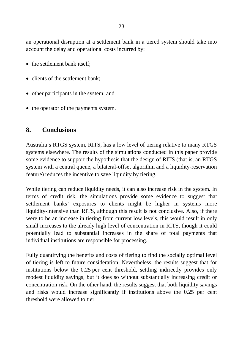an operational disruption at a settlement bank in a tiered system should take into account the delay and operational costs incurred by:

- the settlement bank itself;
- clients of the settlement bank:
- other participants in the system; and
- the operator of the payments system.

### **8. Conclusions**

Australia's RTGS system, RITS, has a low level of tiering relative to many RTGS systems elsewhere. The results of the simulations conducted in this paper provide some evidence to support the hypothesis that the design of RITS (that is, an RTGS system with a central queue, a bilateral-offset algorithm and a liquidity-reservation feature) reduces the incentive to save liquidity by tiering.

While tiering can reduce liquidity needs, it can also increase risk in the system. In terms of credit risk, the simulations provide some evidence to suggest that settlement banks' exposures to clients might be higher in systems more liquidity-intensive than RITS, although this result is not conclusive. Also, if there were to be an increase in tiering from current low levels, this would result in only small increases to the already high level of concentration in RITS, though it could potentially lead to substantial increases in the share of total payments that individual institutions are responsible for processing.

Fully quantifying the benefits and costs of tiering to find the socially optimal level of tiering is left to future consideration. Nevertheless, the results suggest that for institutions below the 0.25 per cent threshold, settling indirectly provides only modest liquidity savings, but it does so without substantially increasing credit or concentration risk. On the other hand, the results suggest that both liquidity savings and risks would increase significantly if institutions above the 0.25 per cent threshold were allowed to tier.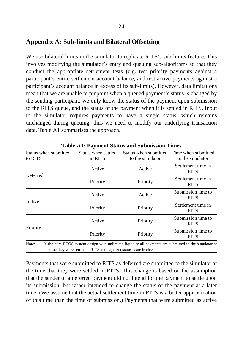## **Appendix A: Sub-limits and Bilateral Offsetting**

We use bilateral limits in the simulator to replicate RITS's sub-limits feature. This involves modifying the simulator's entry and queuing sub-algorithms so that they conduct the appropriate settlement tests (e.g. test priority payments against a participant's entire settlement account balance, and test active payments against a participant's account balance in excess of its sub-limits). However, data limitations mean that we are unable to pinpoint when a queued payment's status is changed by the sending participant; we only know the status of the payment upon submission to the RITS queue, and the status of the payment when it is settled in RITS. Input to the simulator requires payments to have a single status, which remains unchanged during queuing, thus we need to modify our underlying transaction data. Table A1 summarises the approach.

| <b>Table A1: Payment Status and Submission Times</b> |                                                                         |                                                                                                        |                                   |  |  |  |  |
|------------------------------------------------------|-------------------------------------------------------------------------|--------------------------------------------------------------------------------------------------------|-----------------------------------|--|--|--|--|
| Status when submitted<br>to RITS                     | Status when settled<br>in RITS                                          | Status when submitted Time when submitted<br>to the simulator                                          | to the simulator                  |  |  |  |  |
|                                                      | Active                                                                  | Active                                                                                                 | Settlement time in<br><b>RITS</b> |  |  |  |  |
| Deferred                                             | Priority                                                                | Priority                                                                                               | Settlement time in<br><b>RITS</b> |  |  |  |  |
| Active                                               | Active                                                                  | Active                                                                                                 | Submission time to<br><b>RITS</b> |  |  |  |  |
|                                                      | Priority                                                                | Priority                                                                                               | Settlement time in<br><b>RITS</b> |  |  |  |  |
|                                                      | Active                                                                  | Priority                                                                                               | Submission time to<br><b>RITS</b> |  |  |  |  |
| Priority                                             | Priority                                                                | Priority                                                                                               | Submission time to<br><b>RITS</b> |  |  |  |  |
| Note:                                                | the time they were settled in RITS and payment statuses are irrelevant. | In the pure RTGS system design with unlimited liquidity all payments are submitted to the simulator at |                                   |  |  |  |  |

Payments that were submitted to RITS as deferred are submitted to the simulator at the time that they were settled in RITS. This change is based on the assumption that the sender of a deferred payment did not intend for the payment to settle upon its submission, but rather intended to change the status of the payment at a later time. (We assume that the actual settlement time in RITS is a better approximation of this time than the time of submission.) Payments that were submitted as active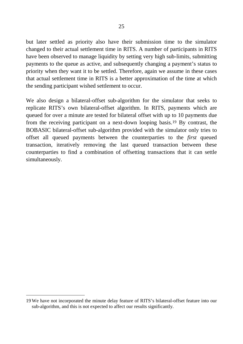but later settled as priority also have their submission time to the simulator changed to their actual settlement time in RITS. A number of participants in RITS have been observed to manage liquidity by setting very high sub-limits, submitting payments to the queue as active, and subsequently changing a payment's status to priority when they want it to be settled. Therefore, again we assume in these cases that actual settlement time in RITS is a better approximation of the time at which the sending participant wished settlement to occur.

We also design a bilateral-offset sub-algorithm for the simulator that seeks to replicate RITS's own bilateral-offset algorithm. In RITS, payments which are queued for over a minute are tested for bilateral offset with up to 10 payments due from the receiving participant on a next-down looping basis.[19](#page-30-0) By contrast, the BOBASIC bilateral-offset sub-algorithm provided with the simulator only tries to offset all queued payments between the counterparties to the *first* queued transaction, iteratively removing the last queued transaction between these counterparties to find a combination of offsetting transactions that it can settle simultaneously.

<span id="page-30-0"></span> $\overline{a}$ 19 We have not incorporated the minute delay feature of RITS's bilateral-offset feature into our sub-algorithm, and this is not expected to affect our results significantly.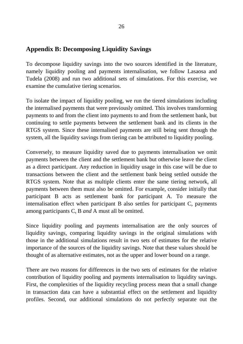### **Appendix B: Decomposing Liquidity Savings**

To decompose liquidity savings into the two sources identified in the literature, namely liquidity pooling and payments internalisation, we follow Lasaosa and Tudela (2008) and run two additional sets of simulations. For this exercise, we examine the cumulative tiering scenarios.

To isolate the impact of liquidity pooling, we run the tiered simulations including the internalised payments that were previously omitted. This involves transforming payments to and from the client into payments to and from the settlement bank, but continuing to settle payments between the settlement bank and its clients in the RTGS system. Since these internalised payments are still being sent through the system, all the liquidity savings from tiering can be attributed to liquidity pooling.

Conversely, to measure liquidity saved due to payments internalisation we omit payments between the client and the settlement bank but otherwise leave the client as a direct participant. Any reduction in liquidity usage in this case will be due to transactions between the client and the settlement bank being settled outside the RTGS system. Note that as multiple clients enter the same tiering network, all payments between them must also be omitted. For example, consider initially that participant B acts as settlement bank for participant A. To measure the internalisation effect when participant B also settles for participant C, payments among participants C, B *and* A must all be omitted.

Since liquidity pooling and payments internalisation are the only sources of liquidity savings, comparing liquidity savings in the original simulations with those in the additional simulations result in two sets of estimates for the relative importance of the sources of the liquidity savings. Note that these values should be thought of as alternative estimates, not as the upper and lower bound on a range.

There are two reasons for differences in the two sets of estimates for the relative contribution of liquidity pooling and payments internalisation to liquidity savings. First, the complexities of the liquidity recycling process mean that a small change in transaction data can have a substantial effect on the settlement and liquidity profiles. Second, our additional simulations do not perfectly separate out the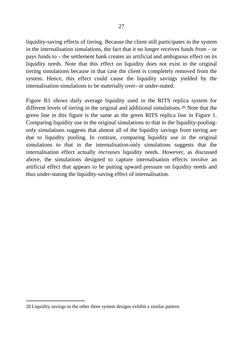liquidity-saving effects of tiering. Because the client still participates in the system in the internalisation simulations, the fact that it no longer receives funds from – or pays funds to – the settlement bank creates an artificial and ambiguous effect on its liquidity needs. Note that this effect on liquidity does not exist in the original tiering simulations because in that case the client is completely removed from the system. Hence, this effect could cause the liquidity savings yielded by the internalisation simulations to be materially over- or under-stated.

Figure B1 shows daily average liquidity used in the RITS replica system for different levels of tiering in the original and additional simulations.[20](#page-32-0) Note that the green line in this figure is the same as the green RITS replica line in Figure 1. Comparing liquidity use in the original simulations to that in the liquidity-poolingonly simulations suggests that almost all of the liquidity savings from tiering are due to liquidity pooling. In contrast, comparing liquidity use in the original simulations to that in the internalisation-only simulations suggests that the internalisation effect actually *increases* liquidity needs. However, as discussed above, the simulations designed to capture internalisation effects involve an artificial effect that appears to be putting upward pressure on liquidity needs and thus under-stating the liquidity-saving effect of internalisation.

<span id="page-32-0"></span> $\overline{a}$ 20 Liquidity savings in the other three system designs exhibit a similar pattern.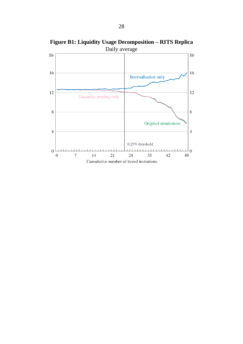

**Figure B1: Liquidity Usage Decomposition – RITS Replica**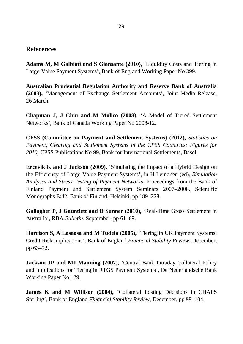#### **References**

**Adams M, M Galbiati and S Giansante (2010),** 'Liquidity Costs and Tiering in Large-Value Payment Systems', Bank of England Working Paper No 399.

**Australian Prudential Regulation Authority and Reserve Bank of Australia (2003),** 'Management of Exchange Settlement Accounts', Joint Media Release, 26 March.

**Chapman J, J Chiu and M Molico (2008),** 'A Model of Tiered Settlement Networks', Bank of Canada Working Paper No 2008-12.

**CPSS (Committee on Payment and Settlement Systems) (2012),** *Statistics on Payment, Clearing and Settlement Systems in the CPSS Countries: Figures for 2010*, CPSS Publications No 99, Bank for International Settlements, Basel.

**Ercevik K and J Jackson (2009),** 'Simulating the Impact of a Hybrid Design on the Efficiency of Large-Value Payment Systems', in H Leinonen (ed), *Simulation Analyses and Stress Testing of Payment Networks*, Proceedings from the Bank of Finland Payment and Settlement System Seminars 2007–2008, Scientific Monographs E:42, Bank of Finland, Helsinki, pp 189–228.

**Gallagher P, J Gauntlett and D Sunner (2010),** 'Real-Time Gross Settlement in Australia', RBA *Bulletin*, September, pp 61–69.

**Harrison S, A Lasaosa and M Tudela (2005),** 'Tiering in UK Payment Systems: Credit Risk Implications', Bank of England *Financial Stability Review*, December, pp 63–72.

**Jackson JP and MJ Manning (2007),** 'Central Bank Intraday Collateral Policy and Implications for Tiering in RTGS Payment Systems', De Nederlandsche Bank Working Paper No 129.

**James K and M Willison (2004),** 'Collateral Posting Decisions in CHAPS Sterling', Bank of England *Financial Stability Review*, December, pp 99–104.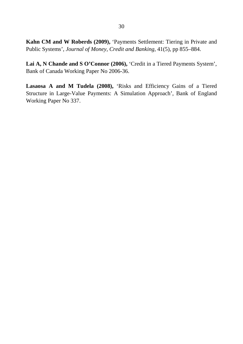**Kahn CM and W Roberds (2009),** 'Payments Settlement: Tiering in Private and Public Systems', *Journal of Money, Credit and Banking*, 41(5), pp 855–884.

Lai A, N Chande and S O'Connor (2006), 'Credit in a Tiered Payments System', Bank of Canada Working Paper No 2006-36.

**Lasaosa A and M Tudela (2008),** 'Risks and Efficiency Gains of a Tiered Structure in Large-Value Payments: A Simulation Approach', Bank of England Working Paper No 337.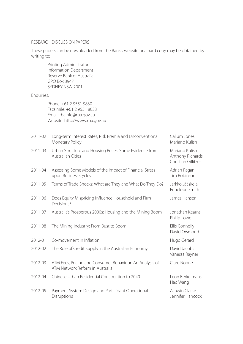#### RESEARCH DISCUSSION PAPERS

These papers can be downloaded from the Bank's website or a hard copy may be obtained by writing to:

|            | Printing Administrator<br>Information Department<br>Reserve Bank of Australia<br><b>GPO Box 3947</b><br>SYDNEY NSW 2001 |                                                           |
|------------|-------------------------------------------------------------------------------------------------------------------------|-----------------------------------------------------------|
| Enquiries: |                                                                                                                         |                                                           |
|            | Phone: +61 2 9551 9830<br>Facsimile: +61 2 9551 8033<br>Email: rbainfo@rba.gov.au<br>Website: http://www.rba.gov.au     |                                                           |
| 2011-02    | Long-term Interest Rates, Risk Premia and Unconventional<br>Monetary Policy                                             | Callum Jones<br>Mariano Kulish                            |
| 2011-03    | Urban Structure and Housing Prices: Some Evidence from<br><b>Australian Cities</b>                                      | Mariano Kulish<br>Anthony Richards<br>Christian Gillitzer |
| 2011-04    | Assessing Some Models of the Impact of Financial Stress<br>upon Business Cycles                                         | Adrian Pagan<br>Tim Robinson                              |
| 2011-05    | Terms of Trade Shocks: What are They and What Do They Do?                                                               | Jarkko Jääskelä<br>Penelope Smith                         |
| 2011-06    | Does Equity Mispricing Influence Household and Firm<br>Decisions?                                                       | James Hansen                                              |
| 2011-07    | Australia's Prosperous 2000s: Housing and the Mining Boom                                                               | Jonathan Kearns<br>Philip Lowe                            |
| 2011-08    | The Mining Industry: From Bust to Boom                                                                                  | Ellis Connolly<br>David Orsmond                           |
| 2012-01    | Co-movement in Inflation                                                                                                | Hugo Gerard                                               |
| 2012-02    | The Role of Credit Supply in the Australian Economy                                                                     | David Jacobs<br>Vanessa Rayner                            |
| 2012-03    | ATM Fees, Pricing and Consumer Behaviour: An Analysis of<br>ATM Network Reform in Australia                             | Clare Noone                                               |
| 2012-04    | Chinese Urban Residential Construction to 2040                                                                          | Leon Berkelmans<br>Hao Wang                               |
| 2012-05    | Payment System Design and Participant Operational<br>Disruptions                                                        | Ashwin Clarke<br>Jennifer Hancock                         |